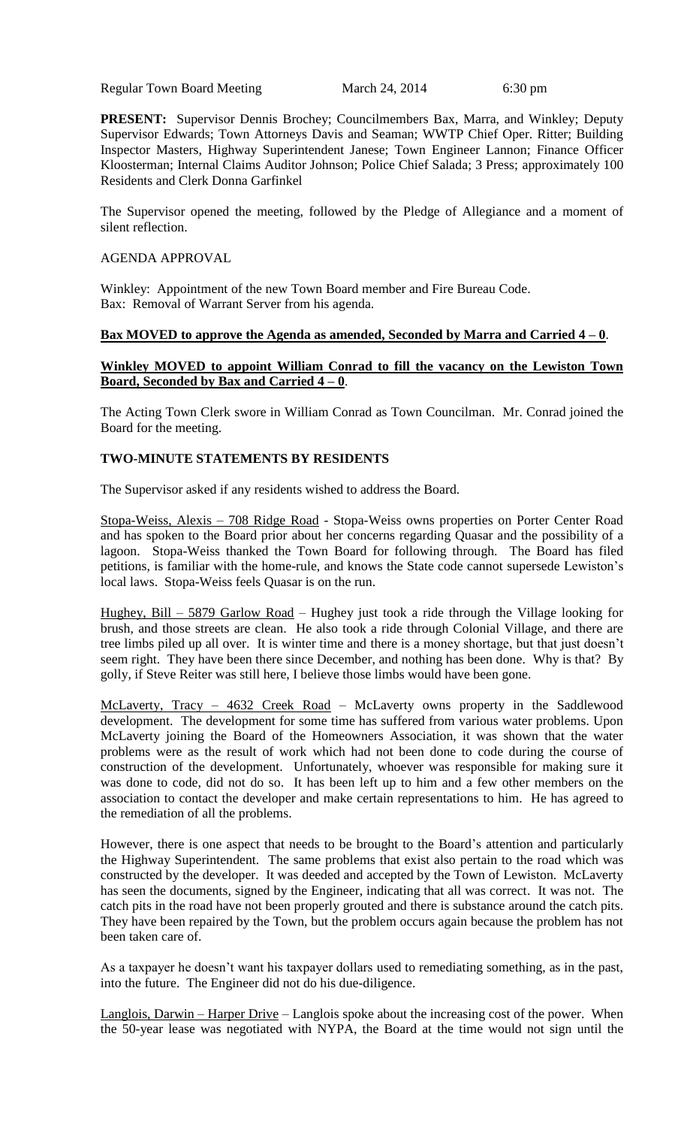Regular Town Board Meeting March 24, 2014 6:30 pm

**PRESENT:** Supervisor Dennis Brochey; Councilmembers Bax, Marra, and Winkley; Deputy Supervisor Edwards; Town Attorneys Davis and Seaman; WWTP Chief Oper. Ritter; Building Inspector Masters, Highway Superintendent Janese; Town Engineer Lannon; Finance Officer Kloosterman; Internal Claims Auditor Johnson; Police Chief Salada; 3 Press; approximately 100 Residents and Clerk Donna Garfinkel

The Supervisor opened the meeting, followed by the Pledge of Allegiance and a moment of silent reflection.

#### AGENDA APPROVAL

Winkley: Appointment of the new Town Board member and Fire Bureau Code. Bax: Removal of Warrant Server from his agenda.

# **Bax MOVED to approve the Agenda as amended, Seconded by Marra and Carried 4 – 0**.

# **Winkley MOVED to appoint William Conrad to fill the vacancy on the Lewiston Town Board, Seconded by Bax and Carried 4 – 0**.

The Acting Town Clerk swore in William Conrad as Town Councilman. Mr. Conrad joined the Board for the meeting.

# **TWO-MINUTE STATEMENTS BY RESIDENTS**

The Supervisor asked if any residents wished to address the Board.

Stopa-Weiss, Alexis – 708 Ridge Road - Stopa-Weiss owns properties on Porter Center Road and has spoken to the Board prior about her concerns regarding Quasar and the possibility of a lagoon. Stopa-Weiss thanked the Town Board for following through. The Board has filed petitions, is familiar with the home-rule, and knows the State code cannot supersede Lewiston's local laws. Stopa-Weiss feels Quasar is on the run.

Hughey, Bill – 5879 Garlow Road – Hughey just took a ride through the Village looking for brush, and those streets are clean. He also took a ride through Colonial Village, and there are tree limbs piled up all over. It is winter time and there is a money shortage, but that just doesn't seem right. They have been there since December, and nothing has been done. Why is that? By golly, if Steve Reiter was still here, I believe those limbs would have been gone.

McLaverty, Tracy – 4632 Creek Road – McLaverty owns property in the Saddlewood development. The development for some time has suffered from various water problems. Upon McLaverty joining the Board of the Homeowners Association, it was shown that the water problems were as the result of work which had not been done to code during the course of construction of the development. Unfortunately, whoever was responsible for making sure it was done to code, did not do so. It has been left up to him and a few other members on the association to contact the developer and make certain representations to him. He has agreed to the remediation of all the problems.

However, there is one aspect that needs to be brought to the Board's attention and particularly the Highway Superintendent. The same problems that exist also pertain to the road which was constructed by the developer. It was deeded and accepted by the Town of Lewiston. McLaverty has seen the documents, signed by the Engineer, indicating that all was correct. It was not. The catch pits in the road have not been properly grouted and there is substance around the catch pits. They have been repaired by the Town, but the problem occurs again because the problem has not been taken care of.

As a taxpayer he doesn't want his taxpayer dollars used to remediating something, as in the past, into the future. The Engineer did not do his due-diligence.

Langlois, Darwin – Harper Drive – Langlois spoke about the increasing cost of the power. When the 50-year lease was negotiated with NYPA, the Board at the time would not sign until the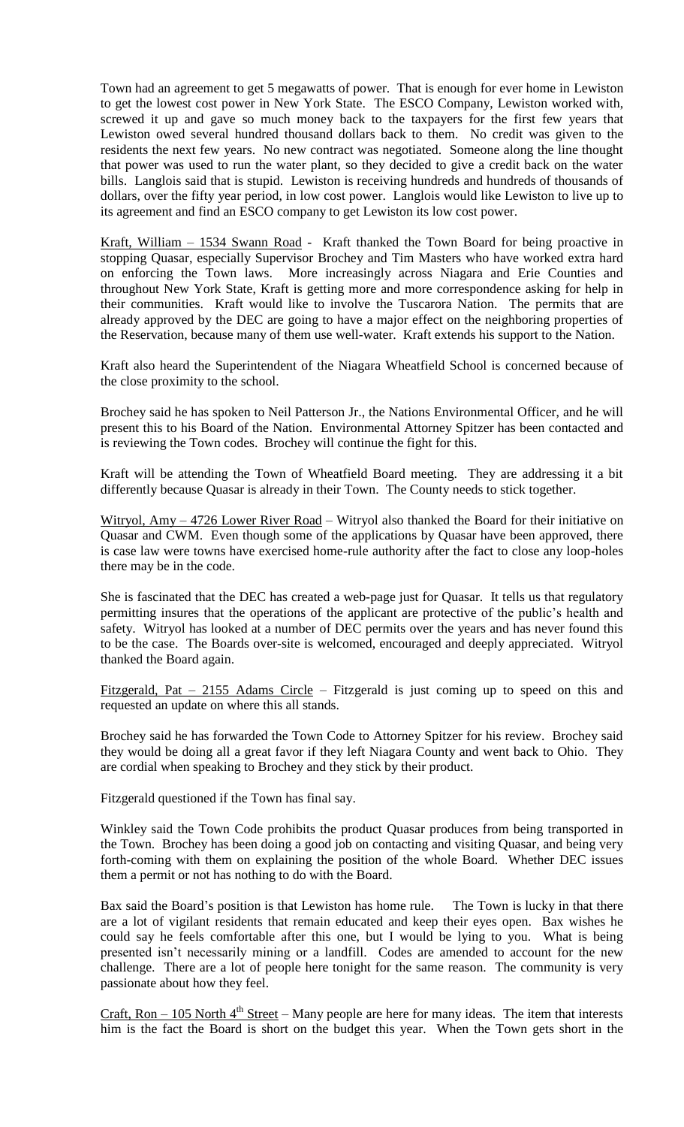Town had an agreement to get 5 megawatts of power. That is enough for ever home in Lewiston to get the lowest cost power in New York State. The ESCO Company, Lewiston worked with, screwed it up and gave so much money back to the taxpayers for the first few years that Lewiston owed several hundred thousand dollars back to them. No credit was given to the residents the next few years. No new contract was negotiated. Someone along the line thought that power was used to run the water plant, so they decided to give a credit back on the water bills. Langlois said that is stupid. Lewiston is receiving hundreds and hundreds of thousands of dollars, over the fifty year period, in low cost power. Langlois would like Lewiston to live up to its agreement and find an ESCO company to get Lewiston its low cost power.

Kraft, William – 1534 Swann Road - Kraft thanked the Town Board for being proactive in stopping Quasar, especially Supervisor Brochey and Tim Masters who have worked extra hard on enforcing the Town laws. More increasingly across Niagara and Erie Counties and throughout New York State, Kraft is getting more and more correspondence asking for help in their communities. Kraft would like to involve the Tuscarora Nation. The permits that are already approved by the DEC are going to have a major effect on the neighboring properties of the Reservation, because many of them use well-water. Kraft extends his support to the Nation.

Kraft also heard the Superintendent of the Niagara Wheatfield School is concerned because of the close proximity to the school.

Brochey said he has spoken to Neil Patterson Jr., the Nations Environmental Officer, and he will present this to his Board of the Nation. Environmental Attorney Spitzer has been contacted and is reviewing the Town codes. Brochey will continue the fight for this.

Kraft will be attending the Town of Wheatfield Board meeting. They are addressing it a bit differently because Quasar is already in their Town. The County needs to stick together.

Witryol, Amy – 4726 Lower River Road – Witryol also thanked the Board for their initiative on Quasar and CWM. Even though some of the applications by Quasar have been approved, there is case law were towns have exercised home-rule authority after the fact to close any loop-holes there may be in the code.

She is fascinated that the DEC has created a web-page just for Quasar. It tells us that regulatory permitting insures that the operations of the applicant are protective of the public's health and safety. Witryol has looked at a number of DEC permits over the years and has never found this to be the case. The Boards over-site is welcomed, encouraged and deeply appreciated. Witryol thanked the Board again.

Fitzgerald, Pat  $-$  2155 Adams Circle  $-$  Fitzgerald is just coming up to speed on this and requested an update on where this all stands.

Brochey said he has forwarded the Town Code to Attorney Spitzer for his review. Brochey said they would be doing all a great favor if they left Niagara County and went back to Ohio. They are cordial when speaking to Brochey and they stick by their product.

Fitzgerald questioned if the Town has final say.

Winkley said the Town Code prohibits the product Quasar produces from being transported in the Town. Brochey has been doing a good job on contacting and visiting Quasar, and being very forth-coming with them on explaining the position of the whole Board. Whether DEC issues them a permit or not has nothing to do with the Board.

Bax said the Board's position is that Lewiston has home rule. The Town is lucky in that there are a lot of vigilant residents that remain educated and keep their eyes open. Bax wishes he could say he feels comfortable after this one, but I would be lying to you. What is being presented isn't necessarily mining or a landfill. Codes are amended to account for the new challenge. There are a lot of people here tonight for the same reason. The community is very passionate about how they feel.

Craft, Ron – 105 North  $4<sup>th</sup>$  Street – Many people are here for many ideas. The item that interests him is the fact the Board is short on the budget this year. When the Town gets short in the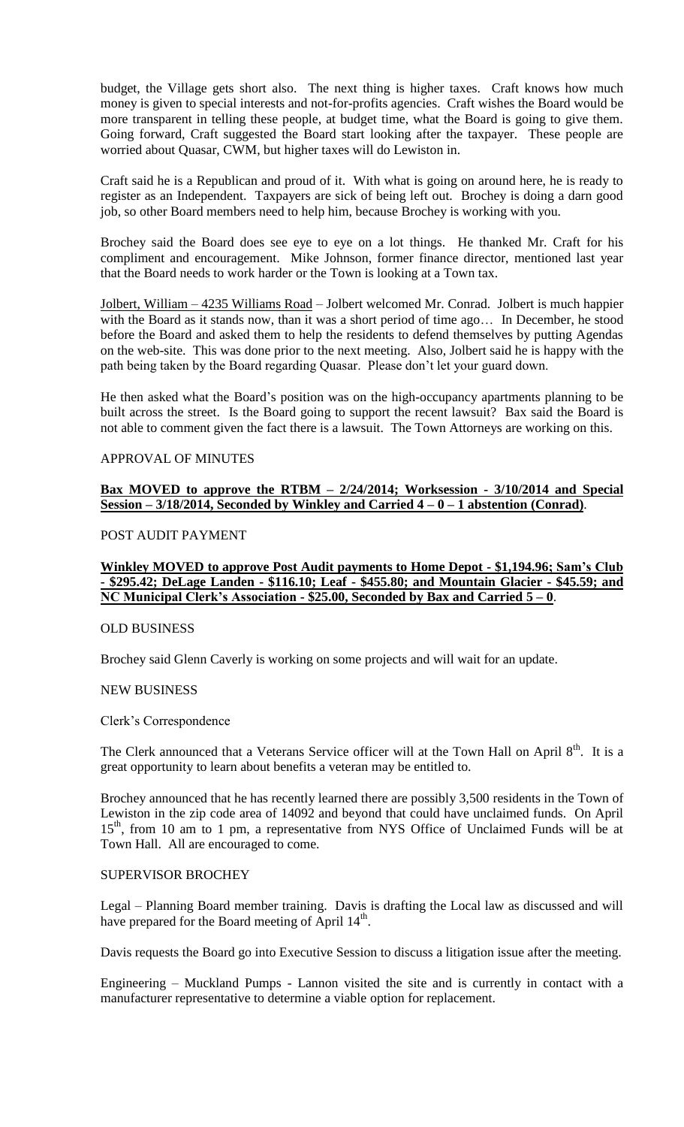budget, the Village gets short also. The next thing is higher taxes. Craft knows how much money is given to special interests and not-for-profits agencies. Craft wishes the Board would be more transparent in telling these people, at budget time, what the Board is going to give them. Going forward, Craft suggested the Board start looking after the taxpayer. These people are worried about Quasar, CWM, but higher taxes will do Lewiston in.

Craft said he is a Republican and proud of it. With what is going on around here, he is ready to register as an Independent. Taxpayers are sick of being left out. Brochey is doing a darn good job, so other Board members need to help him, because Brochey is working with you.

Brochey said the Board does see eye to eye on a lot things. He thanked Mr. Craft for his compliment and encouragement. Mike Johnson, former finance director, mentioned last year that the Board needs to work harder or the Town is looking at a Town tax.

Jolbert, William – 4235 Williams Road – Jolbert welcomed Mr. Conrad. Jolbert is much happier with the Board as it stands now, than it was a short period of time ago... In December, he stood before the Board and asked them to help the residents to defend themselves by putting Agendas on the web-site. This was done prior to the next meeting. Also, Jolbert said he is happy with the path being taken by the Board regarding Quasar. Please don't let your guard down.

He then asked what the Board's position was on the high-occupancy apartments planning to be built across the street. Is the Board going to support the recent lawsuit? Bax said the Board is not able to comment given the fact there is a lawsuit. The Town Attorneys are working on this.

# APPROVAL OF MINUTES

# **Bax MOVED to approve the RTBM – 2/24/2014; Worksession - 3/10/2014 and Special Session – 3/18/2014, Seconded by Winkley and Carried 4 – 0 – 1 abstention (Conrad)**.

#### POST AUDIT PAYMENT

**Winkley MOVED to approve Post Audit payments to Home Depot - \$1,194.96; Sam's Club - \$295.42; DeLage Landen - \$116.10; Leaf - \$455.80; and Mountain Glacier - \$45.59; and NC Municipal Clerk's Association - \$25.00, Seconded by Bax and Carried 5 – 0**.

#### OLD BUSINESS

Brochey said Glenn Caverly is working on some projects and will wait for an update.

#### NEW BUSINESS

Clerk's Correspondence

The Clerk announced that a Veterans Service officer will at the Town Hall on April 8<sup>th</sup>. It is a great opportunity to learn about benefits a veteran may be entitled to.

Brochey announced that he has recently learned there are possibly 3,500 residents in the Town of Lewiston in the zip code area of 14092 and beyond that could have unclaimed funds. On April 15<sup>th</sup>, from 10 am to 1 pm, a representative from NYS Office of Unclaimed Funds will be at Town Hall. All are encouraged to come.

#### SUPERVISOR BROCHEY

Legal – Planning Board member training. Davis is drafting the Local law as discussed and will have prepared for the Board meeting of April 14<sup>th</sup>.

Davis requests the Board go into Executive Session to discuss a litigation issue after the meeting.

Engineering – Muckland Pumps - Lannon visited the site and is currently in contact with a manufacturer representative to determine a viable option for replacement.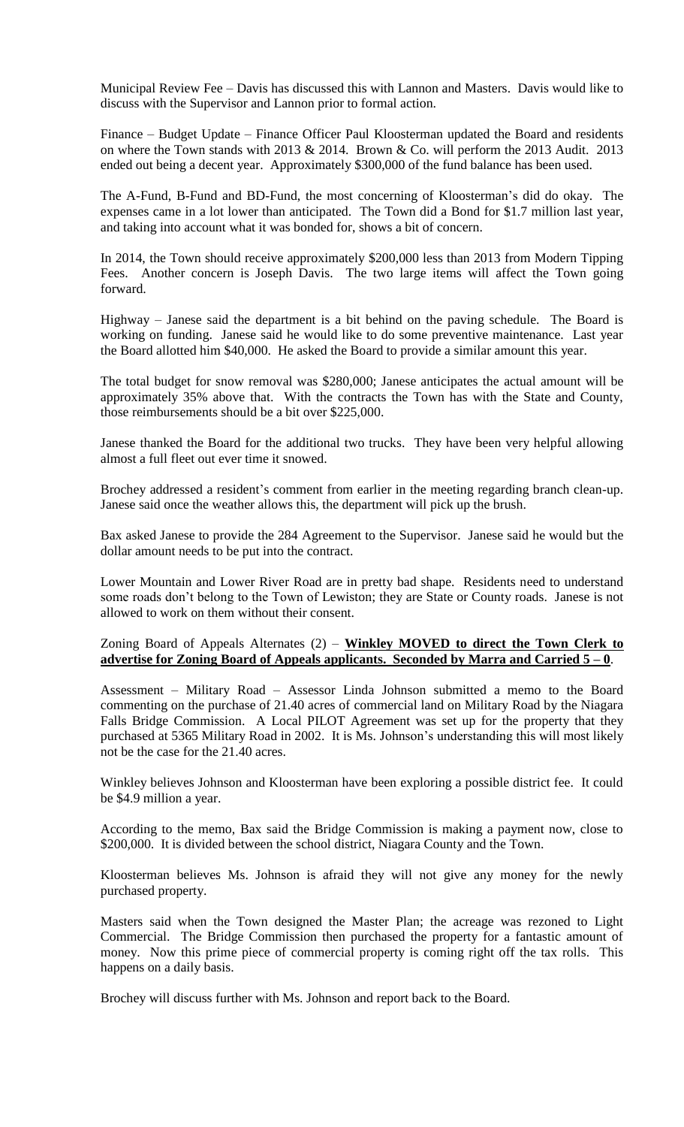Municipal Review Fee – Davis has discussed this with Lannon and Masters. Davis would like to discuss with the Supervisor and Lannon prior to formal action.

Finance – Budget Update – Finance Officer Paul Kloosterman updated the Board and residents on where the Town stands with 2013 & 2014. Brown & Co. will perform the 2013 Audit. 2013 ended out being a decent year. Approximately \$300,000 of the fund balance has been used.

The A-Fund, B-Fund and BD-Fund, the most concerning of Kloosterman's did do okay. The expenses came in a lot lower than anticipated. The Town did a Bond for \$1.7 million last year, and taking into account what it was bonded for, shows a bit of concern.

In 2014, the Town should receive approximately \$200,000 less than 2013 from Modern Tipping Fees. Another concern is Joseph Davis. The two large items will affect the Town going forward.

Highway – Janese said the department is a bit behind on the paving schedule. The Board is working on funding. Janese said he would like to do some preventive maintenance. Last year the Board allotted him \$40,000. He asked the Board to provide a similar amount this year.

The total budget for snow removal was \$280,000; Janese anticipates the actual amount will be approximately 35% above that. With the contracts the Town has with the State and County, those reimbursements should be a bit over \$225,000.

Janese thanked the Board for the additional two trucks. They have been very helpful allowing almost a full fleet out ever time it snowed.

Brochey addressed a resident's comment from earlier in the meeting regarding branch clean-up. Janese said once the weather allows this, the department will pick up the brush.

Bax asked Janese to provide the 284 Agreement to the Supervisor. Janese said he would but the dollar amount needs to be put into the contract.

Lower Mountain and Lower River Road are in pretty bad shape. Residents need to understand some roads don't belong to the Town of Lewiston; they are State or County roads. Janese is not allowed to work on them without their consent.

#### Zoning Board of Appeals Alternates (2) – **Winkley MOVED to direct the Town Clerk to advertise for Zoning Board of Appeals applicants. Seconded by Marra and Carried 5 – 0**.

Assessment – Military Road – Assessor Linda Johnson submitted a memo to the Board commenting on the purchase of 21.40 acres of commercial land on Military Road by the Niagara Falls Bridge Commission. A Local PILOT Agreement was set up for the property that they purchased at 5365 Military Road in 2002. It is Ms. Johnson's understanding this will most likely not be the case for the 21.40 acres.

Winkley believes Johnson and Kloosterman have been exploring a possible district fee. It could be \$4.9 million a year.

According to the memo, Bax said the Bridge Commission is making a payment now, close to \$200,000. It is divided between the school district, Niagara County and the Town.

Kloosterman believes Ms. Johnson is afraid they will not give any money for the newly purchased property.

Masters said when the Town designed the Master Plan; the acreage was rezoned to Light Commercial. The Bridge Commission then purchased the property for a fantastic amount of money. Now this prime piece of commercial property is coming right off the tax rolls. This happens on a daily basis.

Brochey will discuss further with Ms. Johnson and report back to the Board.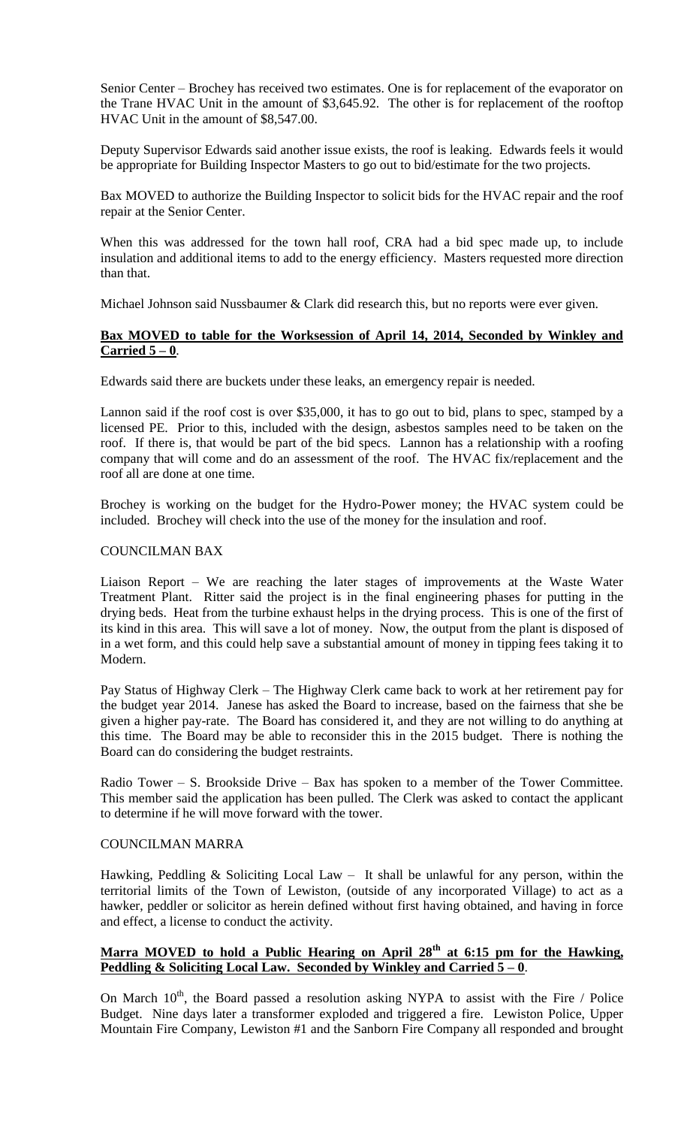Senior Center – Brochey has received two estimates. One is for replacement of the evaporator on the Trane HVAC Unit in the amount of \$3,645.92. The other is for replacement of the rooftop HVAC Unit in the amount of \$8,547.00.

Deputy Supervisor Edwards said another issue exists, the roof is leaking. Edwards feels it would be appropriate for Building Inspector Masters to go out to bid/estimate for the two projects.

Bax MOVED to authorize the Building Inspector to solicit bids for the HVAC repair and the roof repair at the Senior Center.

When this was addressed for the town hall roof, CRA had a bid spec made up, to include insulation and additional items to add to the energy efficiency. Masters requested more direction than that.

Michael Johnson said Nussbaumer & Clark did research this, but no reports were ever given.

# **Bax MOVED to table for the Worksession of April 14, 2014, Seconded by Winkley and Carried 5 – 0**.

Edwards said there are buckets under these leaks, an emergency repair is needed.

Lannon said if the roof cost is over \$35,000, it has to go out to bid, plans to spec, stamped by a licensed PE. Prior to this, included with the design, asbestos samples need to be taken on the roof. If there is, that would be part of the bid specs. Lannon has a relationship with a roofing company that will come and do an assessment of the roof. The HVAC fix/replacement and the roof all are done at one time.

Brochey is working on the budget for the Hydro-Power money; the HVAC system could be included. Brochey will check into the use of the money for the insulation and roof.

# COUNCILMAN BAX

Liaison Report – We are reaching the later stages of improvements at the Waste Water Treatment Plant. Ritter said the project is in the final engineering phases for putting in the drying beds. Heat from the turbine exhaust helps in the drying process. This is one of the first of its kind in this area. This will save a lot of money. Now, the output from the plant is disposed of in a wet form, and this could help save a substantial amount of money in tipping fees taking it to Modern.

Pay Status of Highway Clerk – The Highway Clerk came back to work at her retirement pay for the budget year 2014. Janese has asked the Board to increase, based on the fairness that she be given a higher pay-rate. The Board has considered it, and they are not willing to do anything at this time. The Board may be able to reconsider this in the 2015 budget. There is nothing the Board can do considering the budget restraints.

Radio Tower – S. Brookside Drive – Bax has spoken to a member of the Tower Committee. This member said the application has been pulled. The Clerk was asked to contact the applicant to determine if he will move forward with the tower.

#### COUNCILMAN MARRA

Hawking, Peddling & Soliciting Local Law – It shall be unlawful for any person, within the territorial limits of the Town of Lewiston, (outside of any incorporated Village) to act as a hawker, peddler or solicitor as herein defined without first having obtained, and having in force and effect, a license to conduct the activity.

# **Marra MOVED to hold a Public Hearing on April 28th at 6:15 pm for the Hawking, Peddling & Soliciting Local Law. Seconded by Winkley and Carried 5 – 0**.

On March  $10^{th}$ , the Board passed a resolution asking NYPA to assist with the Fire / Police Budget. Nine days later a transformer exploded and triggered a fire. Lewiston Police, Upper Mountain Fire Company, Lewiston #1 and the Sanborn Fire Company all responded and brought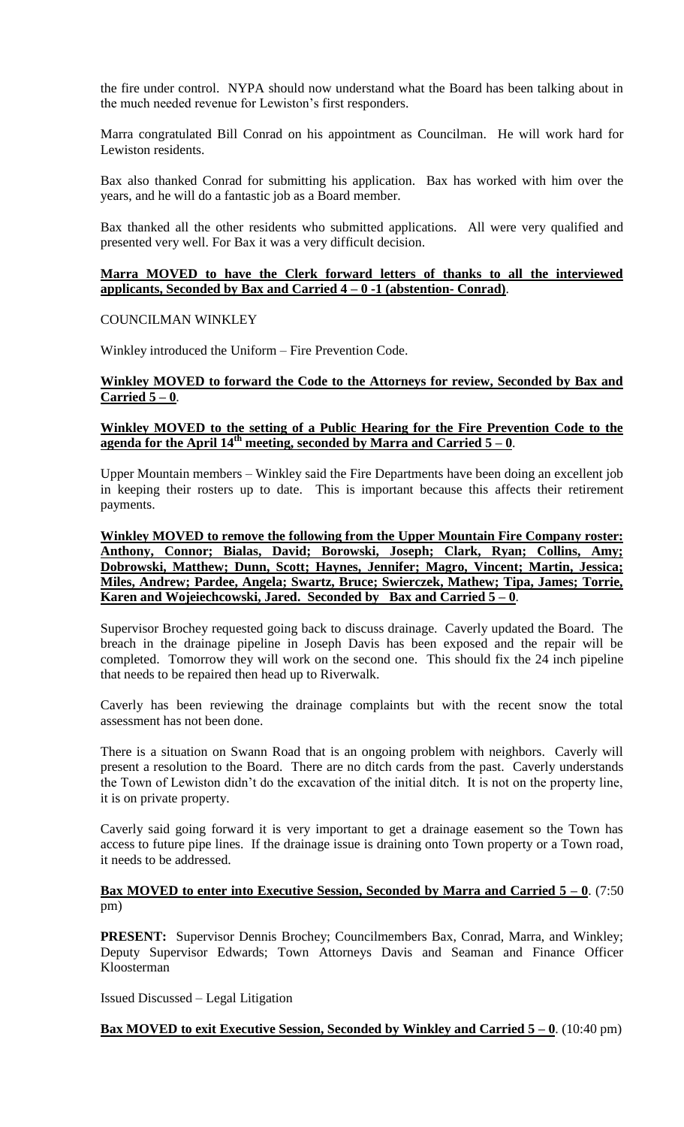the fire under control. NYPA should now understand what the Board has been talking about in the much needed revenue for Lewiston's first responders.

Marra congratulated Bill Conrad on his appointment as Councilman. He will work hard for Lewiston residents.

Bax also thanked Conrad for submitting his application. Bax has worked with him over the years, and he will do a fantastic job as a Board member.

Bax thanked all the other residents who submitted applications. All were very qualified and presented very well. For Bax it was a very difficult decision.

#### **Marra MOVED to have the Clerk forward letters of thanks to all the interviewed applicants, Seconded by Bax and Carried 4 – 0 -1 (abstention- Conrad)**.

# COUNCILMAN WINKLEY

Winkley introduced the Uniform – Fire Prevention Code.

# **Winkley MOVED to forward the Code to the Attorneys for review, Seconded by Bax and Carried 5 – 0**.

#### **Winkley MOVED to the setting of a Public Hearing for the Fire Prevention Code to the agenda for the April 14<sup>th</sup> meeting, seconded by Marra and Carried**  $5 - 0$ **.**

Upper Mountain members – Winkley said the Fire Departments have been doing an excellent job in keeping their rosters up to date. This is important because this affects their retirement payments.

**Winkley MOVED to remove the following from the Upper Mountain Fire Company roster: Anthony, Connor; Bialas, David; Borowski, Joseph; Clark, Ryan; Collins, Amy; Dobrowski, Matthew; Dunn, Scott; Haynes, Jennifer; Magro, Vincent; Martin, Jessica; Miles, Andrew; Pardee, Angela; Swartz, Bruce; Swierczek, Mathew; Tipa, James; Torrie, Karen and Wojeiechcowski, Jared. Seconded by Bax and Carried 5 – 0**.

Supervisor Brochey requested going back to discuss drainage. Caverly updated the Board. The breach in the drainage pipeline in Joseph Davis has been exposed and the repair will be completed. Tomorrow they will work on the second one. This should fix the 24 inch pipeline that needs to be repaired then head up to Riverwalk.

Caverly has been reviewing the drainage complaints but with the recent snow the total assessment has not been done.

There is a situation on Swann Road that is an ongoing problem with neighbors. Caverly will present a resolution to the Board. There are no ditch cards from the past. Caverly understands the Town of Lewiston didn't do the excavation of the initial ditch. It is not on the property line, it is on private property.

Caverly said going forward it is very important to get a drainage easement so the Town has access to future pipe lines. If the drainage issue is draining onto Town property or a Town road, it needs to be addressed.

# **Bax MOVED to enter into Executive Session, Seconded by Marra and Carried**  $5 - 0$ **. (7:50)** pm)

**PRESENT:** Supervisor Dennis Brochey; Councilmembers Bax, Conrad, Marra, and Winkley; Deputy Supervisor Edwards; Town Attorneys Davis and Seaman and Finance Officer Kloosterman

Issued Discussed – Legal Litigation

# **Bax MOVED to exit Executive Session, Seconded by Winkley and Carried**  $5-0$ **.** (10:40 pm)